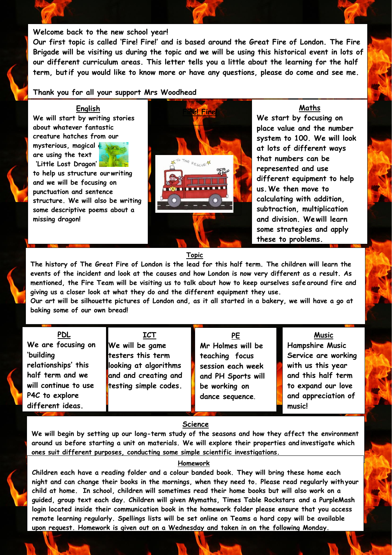### **Welcome back to the new school year!**

**Our first topic is called 'Fire! Fire!' and is based around the Great Fire of London. The Fire Brigade will be visiting us during the topic and we will be using this historical event in lots of our different curriculum areas. This letter tells you a little about the learning for the half term, but if you would like to know more or have any questions, please do come and see me.**

## **Thank you for all your support Mrs Woodhead**

## **English**

**We will start by writing stories about whatever fantastic creature hatches from our mysterious, magical eggs are using the text 'Little Lost Dragon'** 

**to help us structure ourwriting and we will be focusing on punctuation and sentence structure. We will also be writing some descriptive poems about a missing dragon!**



**We start by focusing on place value and the number system to 100. We will look at lots of different ways that numbers can be represented and use different equipment to help us.We then move to calculating with addition, subtraction, multiplication and division. Wewill learn some strategies and apply these to problems.**

### **Topic**

**The history of The Great Fire of London is the lead for this half term. The children will learn the events of the incident and look at the causes and how London is now very different as a result. As mentioned, the Fire Team will be visiting us to talk about how to keep ourselves safe around fire and giving us a closer look at what they do and the different equipment they use.**

Our art will be silhouette pictures of London and, as it all started in a bakery, we will have a go at **baking some of our own bread!**

**PDL**

**We are focusing on 'building relationships' this half term and we will continue to use P4C to explore different ideas.**

**ICT We will be game testers this term looking at algorithms and and creating and testing simple codes.** 

**PE Mr Holmes will be teaching focus session each week and PH Sports will be working on dance sequence**.

**Hampshire Music Service are working with us this year** 

**Music**

**and this half term to expand our love and appreciation of music!**

# **Science**

**We will begin by setting up our long-term study of the seasons and how they affect the environment around us before starting a unit on materials. We will explore their properties and investigate which ones suit different purposes, conducting some simple scientific investigations.**

# **Homework**

**Children each have a reading folder and a colour banded book. They will bring these home each night and can change their books in the mornings, when they need to. Please read regularly withyour child at home. In school, children will sometimes read their home books but will also work on a guided, group text each day. Children will given Mymaths, Times Table Rockstars and a PurpleMash login located inside their communication book in the homework folder please ensure that you access remote learning regularly. Spellings lists will be set online on Teams a hard copy will be available upon request. Homework is given out on a Wednesday and taken in on the following Monday.**